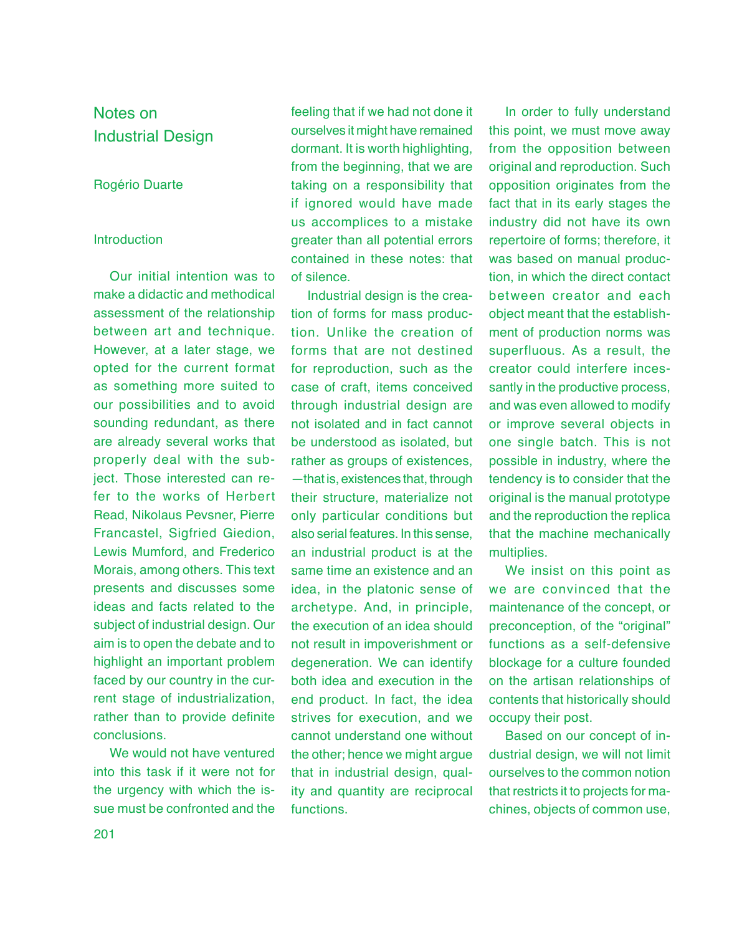# Notes on Industrial Design

# Rogério Duarte

# Introduction

Our initial intention was to make a didactic and methodical assessment of the relationship between art and technique. However, at a later stage, we opted for the current format as something more suited to our possibilities and to avoid sounding redundant, as there are already several works that properly deal with the subject. Those interested can refer to the works of Herbert Read, Nikolaus Pevsner, Pierre Francastel, Sigfried Giedion, Lewis Mumford, and Frederico Morais, among others. This text presents and discusses some ideas and facts related to the subject of industrial design. Our aim is to open the debate and to highlight an important problem faced by our country in the current stage of industrialization, rather than to provide definite conclusions.

We would not have ventured into this task if it were not for the urgency with which the issue must be confronted and the

feeling that if we had not done it ourselves it might have remained dormant. It is worth highlighting, from the beginning, that we are taking on a responsibility that if ignored would have made us accomplices to a mistake greater than all potential errors contained in these notes: that of silence.

Industrial design is the creation of forms for mass production. Unlike the creation of forms that are not destined for reproduction, such as the case of craft, items conceived through industrial design are not isolated and in fact cannot be understood as isolated, but rather as groups of existences, —that is, existences that, through their structure, materialize not only particular conditions but also serial features. In this sense, an industrial product is at the same time an existence and an idea, in the platonic sense of archetype. And, in principle, the execution of an idea should not result in impoverishment or degeneration. We can identify both idea and execution in the end product. In fact, the idea strives for execution, and we cannot understand one without the other; hence we might argue that in industrial design, quality and quantity are reciprocal functions.

In order to fully understand this point, we must move away from the opposition between original and reproduction. Such opposition originates from the fact that in its early stages the industry did not have its own repertoire of forms; therefore, it was based on manual production, in which the direct contact between creator and each object meant that the establishment of production norms was superfluous. As a result, the creator could interfere incessantly in the productive process, and was even allowed to modify or improve several objects in one single batch. This is not possible in industry, where the tendency is to consider that the original is the manual prototype and the reproduction the replica that the machine mechanically multiplies.

We insist on this point as we are convinced that the maintenance of the concept, or preconception, of the "original" functions as a self-defensive blockage for a culture founded on the artisan relationships of contents that historically should occupy their post.

Based on our concept of industrial design, we will not limit ourselves to the common notion that restricts it to projects for machines, objects of common use,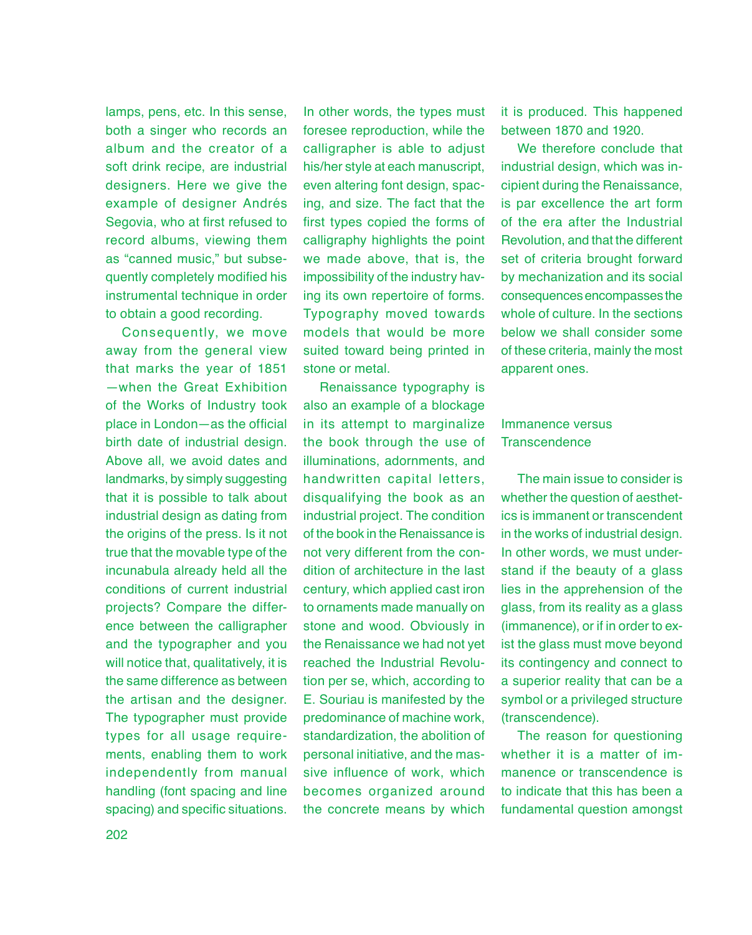lamps, pens, etc. In this sense, both a singer who records an album and the creator of a soft drink recipe, are industrial designers. Here we give the example of designer Andrés Segovia, who at first refused to record albums, viewing them as "canned music," but subsequently completely modified his instrumental technique in order to obtain a good recording.

Consequently, we move away from the general view that marks the year of 1851 —when the Great Exhibition of the Works of Industry took place in London—as the official birth date of industrial design. Above all, we avoid dates and landmarks, by simply suggesting that it is possible to talk about industrial design as dating from the origins of the press. Is it not true that the movable type of the incunabula already held all the conditions of current industrial projects? Compare the difference between the calligrapher and the typographer and you will notice that, qualitatively, it is the same difference as between the artisan and the designer. The typographer must provide types for all usage requirements, enabling them to work independently from manual handling (font spacing and line spacing) and specific situations.

In other words, the types must foresee reproduction, while the calligrapher is able to adjust his/her style at each manuscript, even altering font design, spacing, and size. The fact that the first types copied the forms of calligraphy highlights the point we made above, that is, the impossibility of the industry having its own repertoire of forms. Typography moved towards models that would be more suited toward being printed in stone or metal.

Renaissance typography is also an example of a blockage in its attempt to marginalize the book through the use of illuminations, adornments, and handwritten capital letters, disqualifying the book as an industrial project. The condition of the book in the Renaissance is not very different from the condition of architecture in the last century, which applied cast iron to ornaments made manually on stone and wood. Obviously in the Renaissance we had not yet reached the Industrial Revolution per se, which, according to E. Souriau is manifested by the predominance of machine work, standardization, the abolition of personal initiative, and the massive influence of work, which becomes organized around the concrete means by which

it is produced. This happened between 1870 and 1920.

We therefore conclude that industrial design, which was incipient during the Renaissance, is par excellence the art form of the era after the Industrial Revolution, and that the different set of criteria brought forward by mechanization and its social consequences encompasses the whole of culture. In the sections below we shall consider some of these criteria, mainly the most apparent ones.

# Immanence versus **Transcendence**

The main issue to consider is whether the question of aesthetics is immanent or transcendent in the works of industrial design. In other words, we must understand if the beauty of a glass lies in the apprehension of the glass, from its reality as a glass (immanence), or if in order to exist the glass must move beyond its contingency and connect to a superior reality that can be a symbol or a privileged structure (transcendence).

The reason for questioning whether it is a matter of immanence or transcendence is to indicate that this has been a fundamental question amongst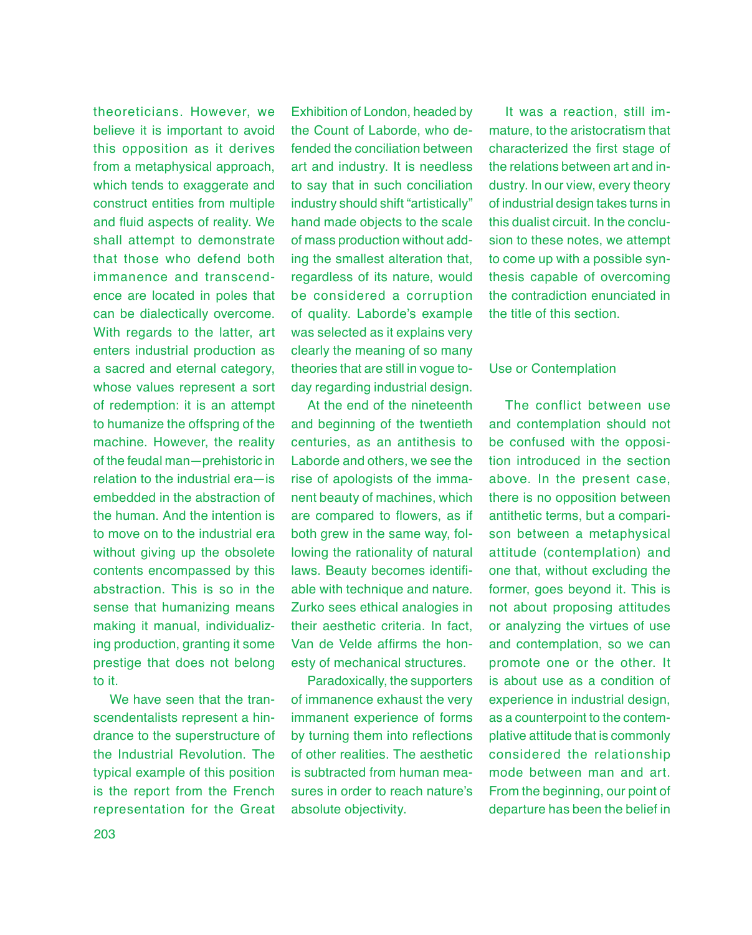theoreticians. However, we believe it is important to avoid this opposition as it derives from a metaphysical approach, which tends to exaggerate and construct entities from multiple and fluid aspects of reality. We shall attempt to demonstrate that those who defend both immanence and transcendence are located in poles that can be dialectically overcome. With regards to the latter, art enters industrial production as a sacred and eternal category, whose values represent a sort of redemption: it is an attempt to humanize the offspring of the machine. However, the reality of the feudal man—prehistoric in relation to the industrial era—is embedded in the abstraction of the human. And the intention is to move on to the industrial era without giving up the obsolete contents encompassed by this abstraction. This is so in the sense that humanizing means making it manual, individualizing production, granting it some prestige that does not belong to it.

We have seen that the transcendentalists represent a hindrance to the superstructure of the Industrial Revolution. The typical example of this position is the report from the French representation for the Great

Exhibition of London, headed by the Count of Laborde, who defended the conciliation between art and industry. It is needless to say that in such conciliation industry should shift "artistically" hand made objects to the scale of mass production without adding the smallest alteration that, regardless of its nature, would be considered a corruption of quality. Laborde's example was selected as it explains very clearly the meaning of so many theories that are still in vogue today regarding industrial design.

At the end of the nineteenth and beginning of the twentieth centuries, as an antithesis to Laborde and others, we see the rise of apologists of the immanent beauty of machines, which are compared to flowers, as if both grew in the same way, following the rationality of natural laws. Beauty becomes identifiable with technique and nature. Zurko sees ethical analogies in their aesthetic criteria. In fact, Van de Velde affirms the honesty of mechanical structures.

Paradoxically, the supporters of immanence exhaust the very immanent experience of forms by turning them into reflections of other realities. The aesthetic is subtracted from human measures in order to reach nature's absolute objectivity.

It was a reaction, still immature, to the aristocratism that characterized the first stage of the relations between art and industry. In our view, every theory of industrial design takes turns in this dualist circuit. In the conclusion to these notes, we attempt to come up with a possible synthesis capable of overcoming the contradiction enunciated in the title of this section.

# Use or Contemplation

The conflict between use and contemplation should not be confused with the opposition introduced in the section above. In the present case, there is no opposition between antithetic terms, but a comparison between a metaphysical attitude (contemplation) and one that, without excluding the former, goes beyond it. This is not about proposing attitudes or analyzing the virtues of use and contemplation, so we can promote one or the other. It is about use as a condition of experience in industrial design, as a counterpoint to the contemplative attitude that is commonly considered the relationship mode between man and art. From the beginning, our point of departure has been the belief in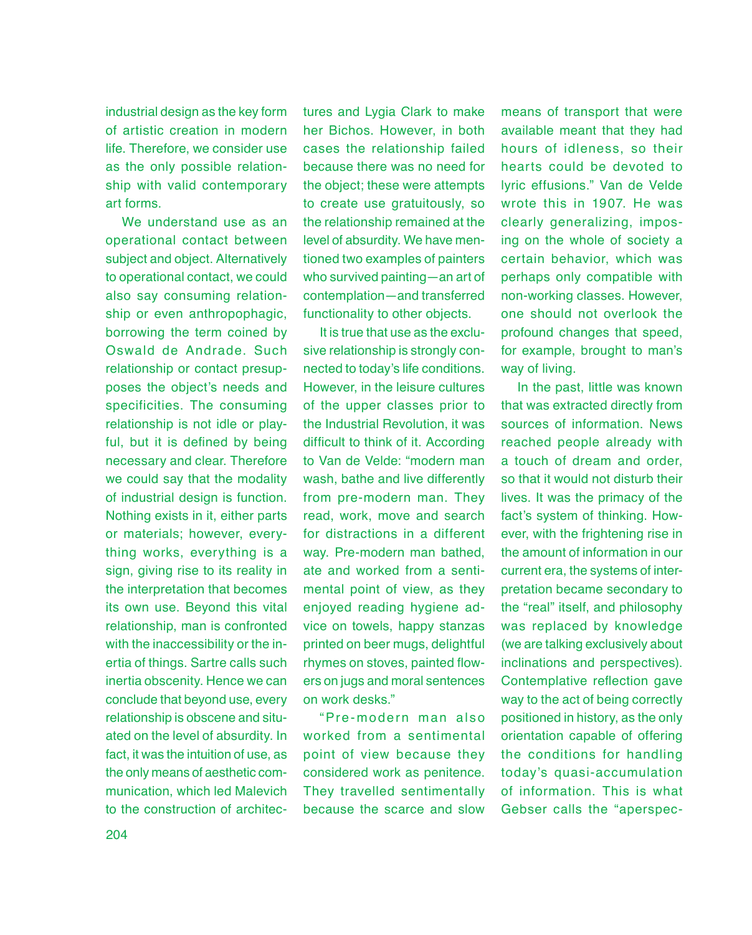industrial design as the key form of artistic creation in modern life. Therefore, we consider use as the only possible relationship with valid contemporary art forms.

We understand use as an operational contact between subject and object. Alternatively to operational contact, we could also say consuming relationship or even anthropophagic, borrowing the term coined by Oswald de Andrade. Such relationship or contact presupposes the object's needs and specificities. The consuming relationship is not idle or playful, but it is defined by being necessary and clear. Therefore we could say that the modality of industrial design is function. Nothing exists in it, either parts or materials; however, everything works, everything is a sign, giving rise to its reality in the interpretation that becomes its own use. Beyond this vital relationship, man is confronted with the inaccessibility or the inertia of things. Sartre calls such inertia obscenity. Hence we can conclude that beyond use, every relationship is obscene and situated on the level of absurdity. In fact, it was the intuition of use, as the only means of aesthetic communication, which led Malevich to the construction of architectures and Lygia Clark to make her Bichos. However, in both cases the relationship failed because there was no need for the object; these were attempts to create use gratuitously, so the relationship remained at the level of absurdity. We have mentioned two examples of painters who survived painting—an art of contemplation—and transferred functionality to other objects.

It is true that use as the exclusive relationship is strongly connected to today's life conditions. However, in the leisure cultures of the upper classes prior to the Industrial Revolution, it was difficult to think of it. According to Van de Velde: "modern man wash, bathe and live differently from pre-modern man. They read, work, move and search for distractions in a different way. Pre-modern man bathed, ate and worked from a sentimental point of view, as they enjoyed reading hygiene advice on towels, happy stanzas printed on beer mugs, delightful rhymes on stoves, painted flowers on jugs and moral sentences on work desks."

" Pre -modern man also worked from a sentimental point of view because they considered work as penitence. They travelled sentimentally because the scarce and slow

means of transport that were available meant that they had hours of idleness, so their hearts could be devoted to lyric effusions." Van de Velde wrote this in 1907. He was clearly generalizing, imposing on the whole of society a certain behavior, which was perhaps only compatible with non-working classes. However, one should not overlook the profound changes that speed, for example, brought to man's way of living.

In the past, little was known that was extracted directly from sources of information. News reached people already with a touch of dream and order, so that it would not disturb their lives. It was the primacy of the fact's system of thinking. However, with the frightening rise in the amount of information in our current era, the systems of interpretation became secondary to the "real" itself, and philosophy was replaced by knowledge (we are talking exclusively about inclinations and perspectives). Contemplative reflection gave way to the act of being correctly positioned in history, as the only orientation capable of offering the conditions for handling today's quasi-accumulation of information. This is what Gebser calls the "aperspec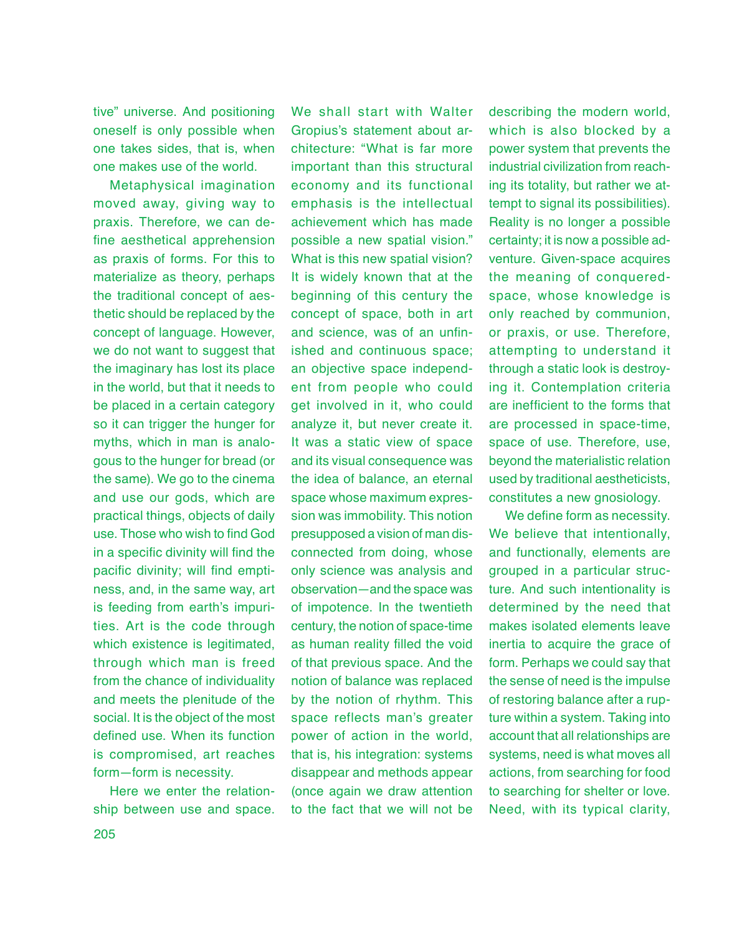tive" universe. And positioning oneself is only possible when one takes sides, that is, when one makes use of the world.

Metaphysical imagination moved away, giving way to praxis. Therefore, we can define aesthetical apprehension as praxis of forms. For this to materialize as theory, perhaps the traditional concept of aesthetic should be replaced by the concept of language. However, we do not want to suggest that the imaginary has lost its place in the world, but that it needs to be placed in a certain category so it can trigger the hunger for myths, which in man is analogous to the hunger for bread (or the same). We go to the cinema and use our gods, which are practical things, objects of daily use. Those who wish to find God in a specific divinity will find the pacific divinity; will find emptiness, and, in the same way, art is feeding from earth's impurities. Art is the code through which existence is legitimated, through which man is freed from the chance of individuality and meets the plenitude of the social. It is the object of the most defined use. When its function is compromised, art reaches form—form is necessity.

Here we enter the relationship between use and space.

We shall start with Walter Gropius's statement about architecture: "What is far more important than this structural economy and its functional emphasis is the intellectual achievement which has made possible a new spatial vision." What is this new spatial vision? It is widely known that at the beginning of this century the concept of space, both in art and science, was of an unfinished and continuous space; an objective space independent from people who could get involved in it, who could analyze it, but never create it. It was a static view of space and its visual consequence was the idea of balance, an eternal space whose maximum expression was immobility. This notion presupposed a vision of man disconnected from doing, whose only science was analysis and observation—and the space was of impotence. In the twentieth century, the notion of space-time as human reality filled the void of that previous space. And the notion of balance was replaced by the notion of rhythm. This space reflects man's greater power of action in the world, that is, his integration: systems disappear and methods appear (once again we draw attention to the fact that we will not be

describing the modern world, which is also blocked by a power system that prevents the industrial civilization from reaching its totality, but rather we attempt to signal its possibilities). Reality is no longer a possible certainty; it is now a possible adventure. Given-space acquires the meaning of conqueredspace, whose knowledge is only reached by communion, or praxis, or use. Therefore, attempting to understand it through a static look is destroying it. Contemplation criteria are inefficient to the forms that are processed in space-time, space of use. Therefore, use, beyond the materialistic relation used by traditional aestheticists, constitutes a new gnosiology.

We define form as necessity. We believe that intentionally, and functionally, elements are grouped in a particular structure. And such intentionality is determined by the need that makes isolated elements leave inertia to acquire the grace of form. Perhaps we could say that the sense of need is the impulse of restoring balance after a rupture within a system. Taking into account that all relationships are systems, need is what moves all actions, from searching for food to searching for shelter or love. Need, with its typical clarity,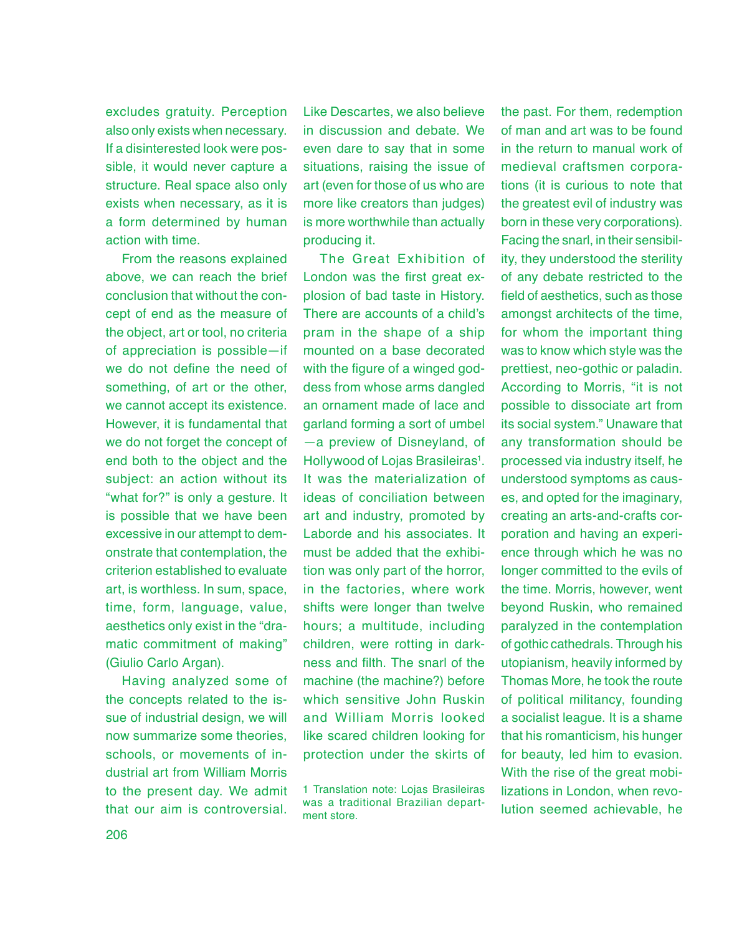excludes gratuity. Perception also only exists when necessary. If a disinterested look were possible, it would never capture a structure. Real space also only exists when necessary, as it is a form determined by human action with time.

From the reasons explained above, we can reach the brief conclusion that without the concept of end as the measure of the object, art or tool, no criteria of appreciation is possible—if we do not define the need of something, of art or the other, we cannot accept its existence. However, it is fundamental that we do not forget the concept of end both to the object and the subject: an action without its "what for?" is only a gesture. It is possible that we have been excessive in our attempt to demonstrate that contemplation, the criterion established to evaluate art, is worthless. In sum, space, time, form, language, value, aesthetics only exist in the "dramatic commitment of making" (Giulio Carlo Argan).

Having analyzed some of the concepts related to the issue of industrial design, we will now summarize some theories, schools, or movements of industrial art from William Morris to the present day. We admit that our aim is controversial.

Like Descartes, we also believe in discussion and debate. We even dare to say that in some situations, raising the issue of art (even for those of us who are more like creators than judges) is more worthwhile than actually producing it.

The Great Exhibition of London was the first great explosion of bad taste in History. There are accounts of a child's pram in the shape of a ship mounted on a base decorated with the figure of a winged goddess from whose arms dangled an ornament made of lace and garland forming a sort of umbel —a preview of Disneyland, of Hollywood of Lojas Brasileiras<sup>1</sup>. It was the materialization of ideas of conciliation between art and industry, promoted by Laborde and his associates. It must be added that the exhibition was only part of the horror, in the factories, where work shifts were longer than twelve hours; a multitude, including children, were rotting in darkness and filth. The snarl of the machine (the machine?) before which sensitive John Ruskin and William Morris looked like scared children looking for protection under the skirts of

the past. For them, redemption of man and art was to be found in the return to manual work of medieval craftsmen corporations (it is curious to note that the greatest evil of industry was born in these very corporations). Facing the snarl, in their sensibility, they understood the sterility of any debate restricted to the field of aesthetics, such as those amongst architects of the time, for whom the important thing was to know which style was the prettiest, neo-gothic or paladin. According to Morris, "it is not possible to dissociate art from its social system." Unaware that any transformation should be processed via industry itself, he understood symptoms as causes, and opted for the imaginary, creating an arts-and-crafts corporation and having an experience through which he was no longer committed to the evils of the time. Morris, however, went beyond Ruskin, who remained paralyzed in the contemplation of gothic cathedrals. Through his utopianism, heavily informed by Thomas More, he took the route of political militancy, founding a socialist league. It is a shame that his romanticism, his hunger for beauty, led him to evasion. With the rise of the great mobilizations in London, when revolution seemed achievable, he

<sup>1</sup> Translation note: Lojas Brasileiras was a traditional Brazilian department store.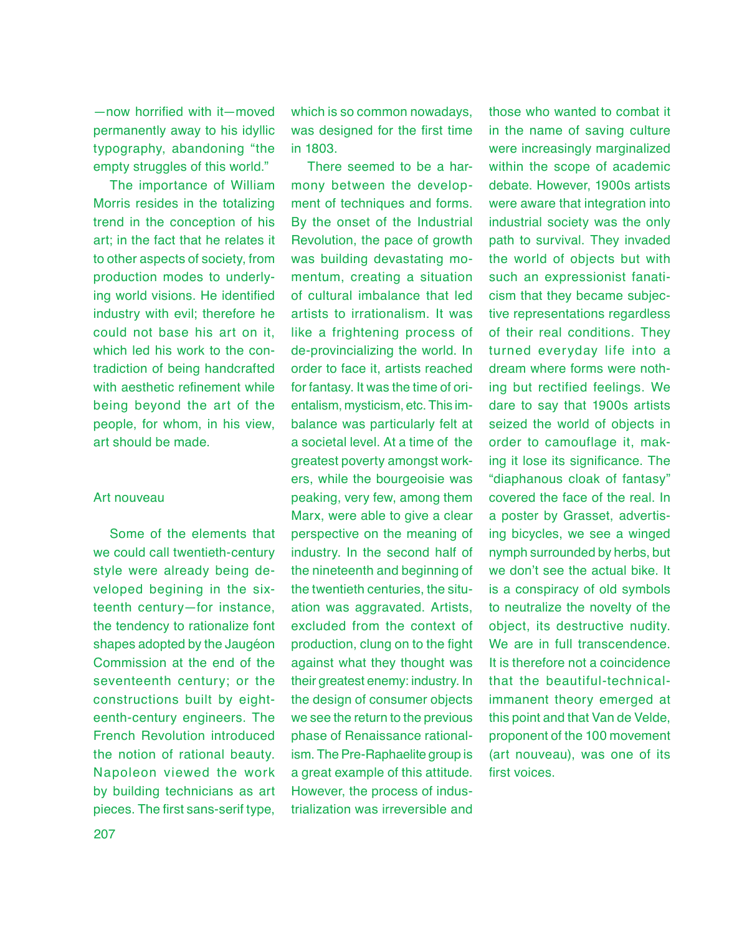—now horrified with it—moved permanently away to his idyllic typography, abandoning "the empty struggles of this world."

The importance of William Morris resides in the totalizing trend in the conception of his art; in the fact that he relates it to other aspects of society, from production modes to underlying world visions. He identified industry with evil; therefore he could not base his art on it, which led his work to the contradiction of being handcrafted with aesthetic refinement while being beyond the art of the people, for whom, in his view, art should be made.

## Art nouveau

Some of the elements that we could call twentieth-century style were already being developed begining in the sixteenth century—for instance, the tendency to rationalize font shapes adopted by the Jaugéon Commission at the end of the seventeenth century; or the constructions built by eighteenth-century engineers. The French Revolution introduced the notion of rational beauty. Napoleon viewed the work by building technicians as art pieces. The first sans-serif type,

which is so common nowadays, was designed for the first time in 1803.

There seemed to be a harmony between the development of techniques and forms. By the onset of the Industrial Revolution, the pace of growth was building devastating momentum, creating a situation of cultural imbalance that led artists to irrationalism. It was like a frightening process of de-provincializing the world. In order to face it, artists reached for fantasy. It was the time of orientalism, mysticism, etc. This imbalance was particularly felt at a societal level. At a time of the greatest poverty amongst workers, while the bourgeoisie was peaking, very few, among them Marx, were able to give a clear perspective on the meaning of industry. In the second half of the nineteenth and beginning of the twentieth centuries, the situation was aggravated. Artists, excluded from the context of production, clung on to the fight against what they thought was their greatest enemy: industry. In the design of consumer objects we see the return to the previous phase of Renaissance rationalism. The Pre-Raphaelite group is a great example of this attitude. However, the process of industrialization was irreversible and

those who wanted to combat it in the name of saving culture were increasingly marginalized within the scope of academic debate. However, 1900s artists were aware that integration into industrial society was the only path to survival. They invaded the world of objects but with such an expressionist fanaticism that they became subjective representations regardless of their real conditions. They turned everyday life into a dream where forms were nothing but rectified feelings. We dare to say that 1900s artists seized the world of objects in order to camouflage it, making it lose its significance. The "diaphanous cloak of fantasy" covered the face of the real. In a poster by Grasset, advertising bicycles, we see a winged nymph surrounded by herbs, but we don't see the actual bike. It is a conspiracy of old symbols to neutralize the novelty of the object, its destructive nudity. We are in full transcendence. It is therefore not a coincidence that the beautiful-technicalimmanent theory emerged at this point and that Van de Velde, proponent of the 100 movement (art nouveau), was one of its first voices.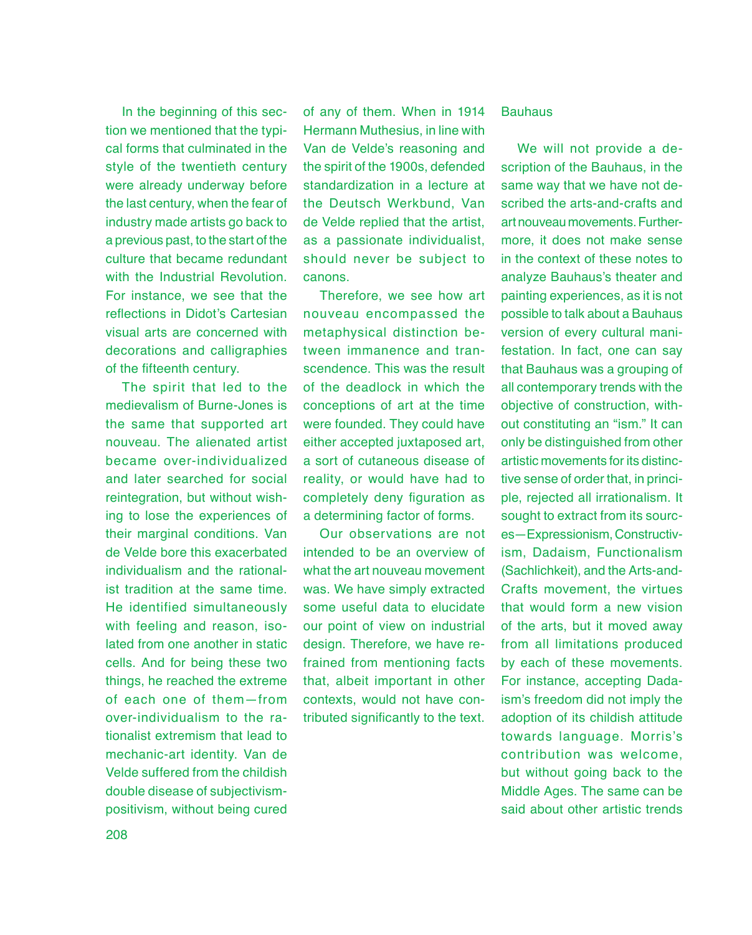In the beginning of this section we mentioned that the typical forms that culminated in the style of the twentieth century were already underway before the last century, when the fear of industry made artists go back to a previous past, to the start of the culture that became redundant with the Industrial Revolution For instance, we see that the reflections in Didot's Cartesian visual arts are concerned with decorations and calligraphies of the fifteenth century.

The spirit that led to the medievalism of Burne-Jones is the same that supported art nouveau. The alienated artist became over-individualized and later searched for social reintegration, but without wishing to lose the experiences of their marginal conditions. Van de Velde bore this exacerbated individualism and the rationalist tradition at the same time. He identified simultaneously with feeling and reason, isolated from one another in static cells. And for being these two things, he reached the extreme of each one of them—from over-individualism to the rationalist extremism that lead to mechanic-art identity. Van de Velde suffered from the childish double disease of subjectivismpositivism, without being cured

of any of them. When in 1914 Hermann Muthesius, in line with Van de Velde's reasoning and the spirit of the 1900s, defended standardization in a lecture at the Deutsch Werkbund, Van de Velde replied that the artist, as a passionate individualist, should never be subject to canons.

Therefore, we see how art nouveau encompassed the metaphysical distinction between immanence and transcendence. This was the result of the deadlock in which the conceptions of art at the time were founded. They could have either accepted juxtaposed art, a sort of cutaneous disease of reality, or would have had to completely deny figuration as a determining factor of forms.

Our observations are not intended to be an overview of what the art nouveau movement was. We have simply extracted some useful data to elucidate our point of view on industrial design. Therefore, we have refrained from mentioning facts that, albeit important in other contexts, would not have contributed significantly to the text.

#### **Bauhaus**

We will not provide a description of the Bauhaus, in the same way that we have not described the arts-and-crafts and art nouveau movements. Furthermore, it does not make sense in the context of these notes to analyze Bauhaus's theater and painting experiences, as it is not possible to talk about a Bauhaus version of every cultural manifestation. In fact, one can say that Bauhaus was a grouping of all contemporary trends with the objective of construction, without constituting an "ism." It can only be distinguished from other artistic movements for its distinctive sense of order that, in principle, rejected all irrationalism. It sought to extract from its sources—Expressionism, Constructivism, Dadaism, Functionalism (Sachlichkeit), and the Arts-and-Crafts movement, the virtues that would form a new vision of the arts, but it moved away from all limitations produced by each of these movements. For instance, accepting Dadaism's freedom did not imply the adoption of its childish attitude towards language. Morris's contribution was welcome, but without going back to the Middle Ages. The same can be said about other artistic trends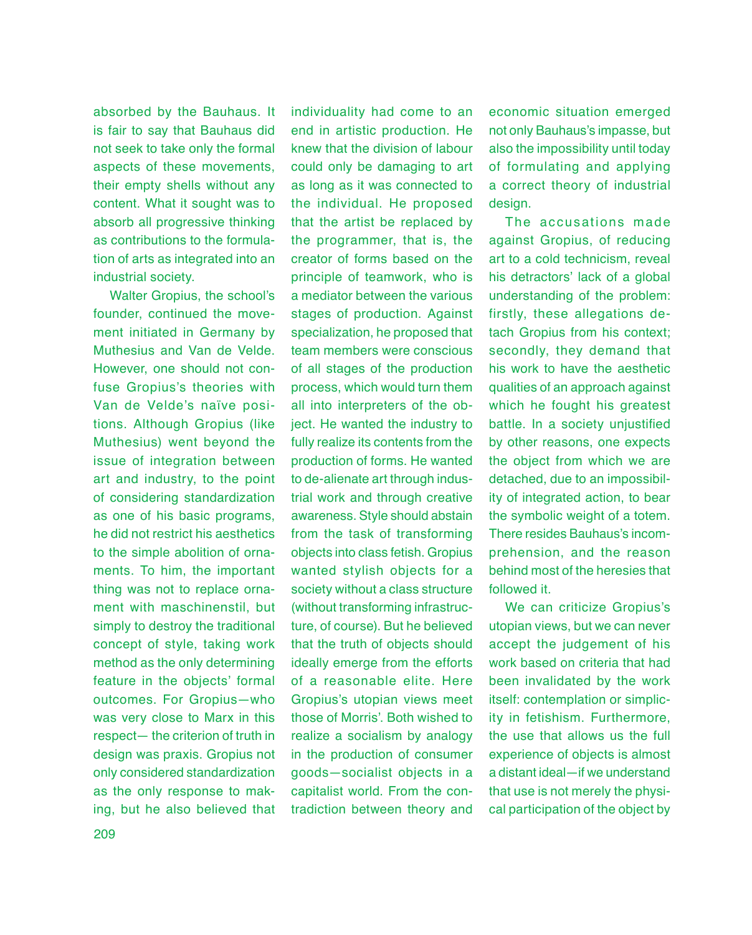absorbed by the Bauhaus. It is fair to say that Bauhaus did not seek to take only the formal aspects of these movements, their empty shells without any content. What it sought was to absorb all progressive thinking as contributions to the formulation of arts as integrated into an industrial society.

Walter Gropius, the school's founder, continued the movement initiated in Germany by Muthesius and Van de Velde. However, one should not confuse Gropius's theories with Van de Velde's naïve positions. Although Gropius (like Muthesius) went beyond the issue of integration between art and industry, to the point of considering standardization as one of his basic programs, he did not restrict his aesthetics to the simple abolition of ornaments. To him, the important thing was not to replace ornament with maschinenstil, but simply to destroy the traditional concept of style, taking work method as the only determining feature in the objects' formal outcomes. For Gropius—who was very close to Marx in this respect— the criterion of truth in design was praxis. Gropius not only considered standardization as the only response to making, but he also believed that

individuality had come to an end in artistic production. He knew that the division of labour could only be damaging to art as long as it was connected to the individual. He proposed that the artist be replaced by the programmer, that is, the creator of forms based on the principle of teamwork, who is a mediator between the various stages of production. Against specialization, he proposed that team members were conscious of all stages of the production process, which would turn them all into interpreters of the object. He wanted the industry to fully realize its contents from the production of forms. He wanted to de-alienate art through industrial work and through creative awareness. Style should abstain from the task of transforming objects into class fetish. Gropius wanted stylish objects for a society without a class structure (without transforming infrastructure, of course). But he believed that the truth of objects should ideally emerge from the efforts of a reasonable elite. Here Gropius's utopian views meet those of Morris'. Both wished to realize a socialism by analogy in the production of consumer goods—socialist objects in a capitalist world. From the contradiction between theory and

economic situation emerged not only Bauhaus's impasse, but also the impossibility until today of formulating and applying a correct theory of industrial design.

The accusations made against Gropius, of reducing art to a cold technicism, reveal his detractors' lack of a global understanding of the problem: firstly, these allegations detach Gropius from his context; secondly, they demand that his work to have the aesthetic qualities of an approach against which he fought his greatest battle. In a society unjustified by other reasons, one expects the object from which we are detached, due to an impossibility of integrated action, to bear the symbolic weight of a totem. There resides Bauhaus's incomprehension, and the reason behind most of the heresies that followed it.

We can criticize Gropius's utopian views, but we can never accept the judgement of his work based on criteria that had been invalidated by the work itself: contemplation or simplicity in fetishism. Furthermore, the use that allows us the full experience of objects is almost a distant ideal—if we understand that use is not merely the physical participation of the object by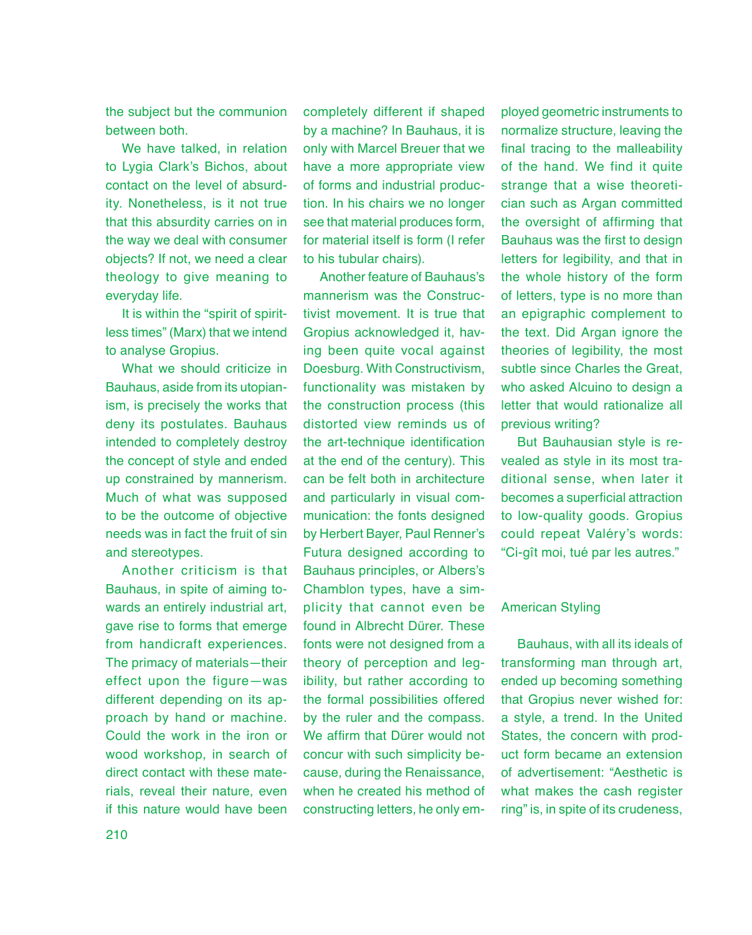the subject but the communion between both.

We have talked, in relation to Lygia Clark's Bichos, about contact on the level of absurdity. Nonetheless, is it not true that this absurdity carries on in the way we deal with consumer objects? If not, we need a clear theology to give meaning to everyday life.

It is within the "spirit of spiritless times" (Marx) that we intend to analyse Gropius.

What we should criticize in Bauhaus, aside from its utopianism, is precisely the works that deny its postulates. Bauhaus intended to completely destroy the concept of style and ended up constrained by mannerism. Much of what was supposed to be the outcome of objective needs was in fact the fruit of sin and stereotypes.

Another criticism is that Bauhaus, in spite of aiming towards an entirely industrial art, gave rise to forms that emerge from handicraft experiences. The primacy of materials—their effect upon the figure—was different depending on its approach by hand or machine. Could the work in the iron or wood workshop, in search of direct contact with these materials, reveal their nature, even if this nature would have been

completely different if shaped by a machine? In Bauhaus, it is only with Marcel Breuer that we have a more appropriate view of forms and industrial production. In his chairs we no longer see that material produces form, for material itself is form (I refer to his tubular chairs).

Another feature of Bauhaus's mannerism was the Constructivist movement. It is true that Gropius acknowledged it, having been quite vocal against Doesburg. With Constructivism, functionality was mistaken by the construction process (this distorted view reminds us of the art-technique identification at the end of the century). This can be felt both in architecture and particularly in visual communication: the fonts designed by Herbert Bayer, Paul Renner's Futura designed according to Bauhaus principles, or Albers's Chamblon types, have a simplicity that cannot even be found in Albrecht Dürer. These fonts were not designed from a theory of perception and legibility, but rather according to the formal possibilities offered by the ruler and the compass. We affirm that Dürer would not concur with such simplicity because, during the Renaissance, when he created his method of constructing letters, he only em-

ployed geometric instruments to normalize structure, leaving the final tracing to the malleability of the hand. We find it quite strange that a wise theoretician such as Argan committed the oversight of affirming that Bauhaus was the first to design letters for legibility, and that in the whole history of the form of letters, type is no more than an epigraphic complement to the text. Did Argan ignore the theories of legibility, the most subtle since Charles the Great, who asked Alcuino to design a letter that would rationalize all previous writing?

But Bauhausian style is revealed as style in its most traditional sense, when later it becomes a superficial attraction to low-quality goods. Gropius could repeat Valéry's words: "Ci-gît moi, tué par les autres."

# American Styling

Bauhaus, with all its ideals of transforming man through art, ended up becoming something that Gropius never wished for: a style, a trend. In the United States, the concern with product form became an extension of advertisement: "Aesthetic is what makes the cash register ring" is, in spite of its crudeness,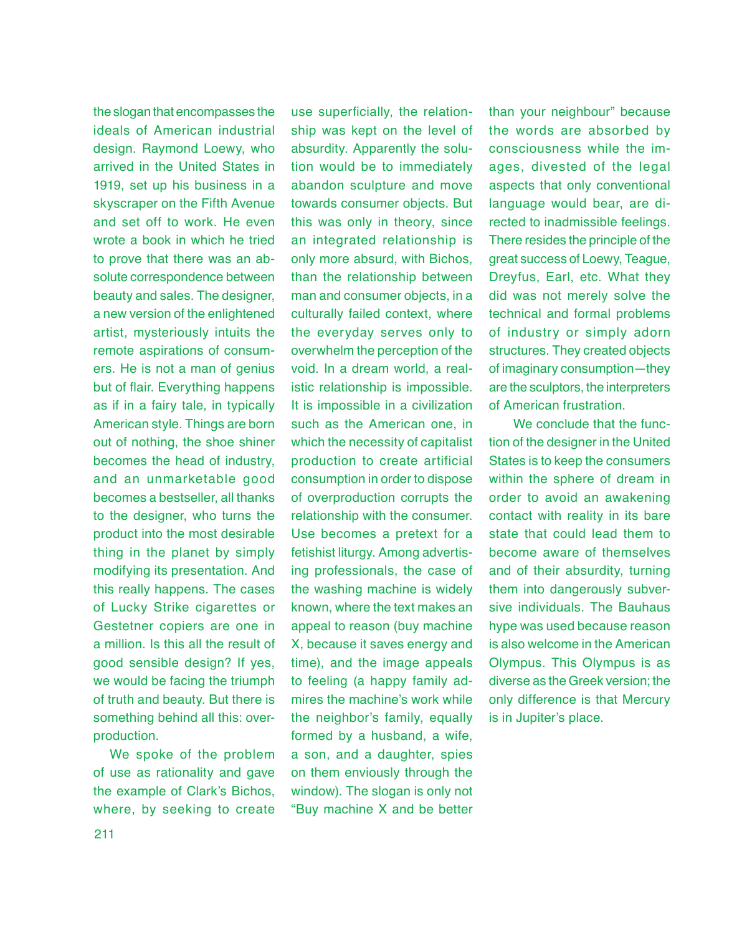the slogan that encompasses the ideals of American industrial design. Raymond Loewy, who arrived in the United States in 1919, set up his business in a skyscraper on the Fifth Avenue and set off to work. He even wrote a book in which he tried to prove that there was an absolute correspondence between beauty and sales. The designer, a new version of the enlightened artist, mysteriously intuits the remote aspirations of consumers. He is not a man of genius but of flair. Everything happens as if in a fairy tale, in typically American style. Things are born out of nothing, the shoe shiner becomes the head of industry, and an unmarketable good becomes a bestseller, all thanks to the designer, who turns the product into the most desirable thing in the planet by simply modifying its presentation. And this really happens. The cases of Lucky Strike cigarettes or Gestetner copiers are one in a million. Is this all the result of good sensible design? If yes, we would be facing the triumph of truth and beauty. But there is something behind all this: overproduction.

We spoke of the problem of use as rationality and gave the example of Clark's Bichos, where, by seeking to create

use superficially, the relationship was kept on the level of absurdity. Apparently the solution would be to immediately abandon sculpture and move towards consumer objects. But this was only in theory, since an integrated relationship is only more absurd, with Bichos, than the relationship between man and consumer objects, in a culturally failed context, where the everyday serves only to overwhelm the perception of the void. In a dream world, a realistic relationship is impossible. It is impossible in a civilization such as the American one, in which the necessity of capitalist production to create artificial consumption in order to dispose of overproduction corrupts the relationship with the consumer. Use becomes a pretext for a fetishist liturgy. Among advertising professionals, the case of the washing machine is widely known, where the text makes an appeal to reason (buy machine X, because it saves energy and time), and the image appeals to feeling (a happy family admires the machine's work while the neighbor's family, equally formed by a husband, a wife, a son, and a daughter, spies on them enviously through the window). The slogan is only not "Buy machine X and be better

than your neighbour" because the words are absorbed by consciousness while the images, divested of the legal aspects that only conventional language would bear, are directed to inadmissible feelings. There resides the principle of the great success of Loewy, Teague, Dreyfus, Earl, etc. What they did was not merely solve the technical and formal problems of industry or simply adorn structures. They created objects of imaginary consumption—they are the sculptors, the interpreters of American frustration.

We conclude that the function of the designer in the United States is to keep the consumers within the sphere of dream in order to avoid an awakening contact with reality in its bare state that could lead them to become aware of themselves and of their absurdity, turning them into dangerously subversive individuals. The Bauhaus hype was used because reason is also welcome in the American Olympus. This Olympus is as diverse as the Greek version; the only difference is that Mercury is in Jupiter's place.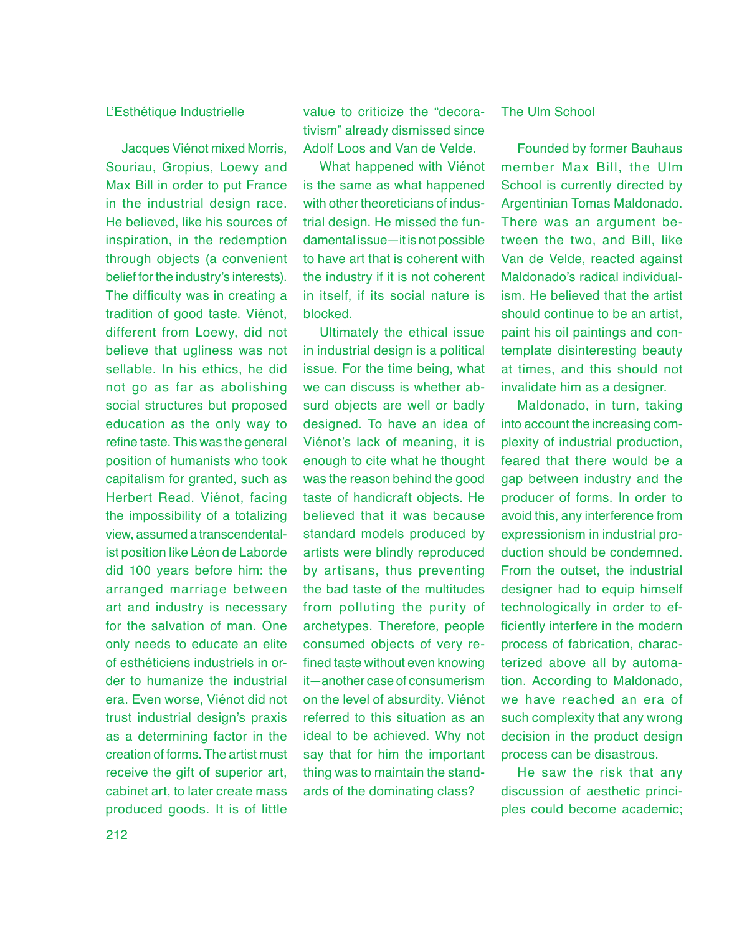# L'Esthétique Industrielle

Jacques Viénot mixed Morris, Souriau, Gropius, Loewy and Max Bill in order to put France in the industrial design race. He believed, like his sources of inspiration, in the redemption through objects (a convenient belief for the industry's interests). The difficulty was in creating a tradition of good taste. Viénot, different from Loewy, did not believe that ugliness was not sellable. In his ethics, he did not go as far as abolishing social structures but proposed education as the only way to refine taste. This was the general position of humanists who took capitalism for granted, such as Herbert Read. Viénot, facing the impossibility of a totalizing view, assumed a transcendentalist position like Léon de Laborde did 100 years before him: the arranged marriage between art and industry is necessary for the salvation of man. One only needs to educate an elite of esthéticiens industriels in order to humanize the industrial era. Even worse, Viénot did not trust industrial design's praxis as a determining factor in the creation of forms. The artist must receive the gift of superior art, cabinet art, to later create mass produced goods. It is of little value to criticize the "decorativism" already dismissed since Adolf Loos and Van de Velde.

What happened with Viénot is the same as what happened with other theoreticians of industrial design. He missed the fundamental issue—it is not possible to have art that is coherent with the industry if it is not coherent in itself, if its social nature is blocked.

Ultimately the ethical issue in industrial design is a political issue. For the time being, what we can discuss is whether absurd objects are well or badly designed. To have an idea of Viénot's lack of meaning, it is enough to cite what he thought was the reason behind the good taste of handicraft objects. He believed that it was because standard models produced by artists were blindly reproduced by artisans, thus preventing the bad taste of the multitudes from polluting the purity of archetypes. Therefore, people consumed objects of very refined taste without even knowing it—another case of consumerism on the level of absurdity. Viénot referred to this situation as an ideal to be achieved. Why not say that for him the important thing was to maintain the standards of the dominating class?

# The Ulm School

Founded by former Bauhaus member Max Bill, the Ulm School is currently directed by Argentinian Tomas Maldonado. There was an argument between the two, and Bill, like Van de Velde, reacted against Maldonado's radical individualism. He believed that the artist should continue to be an artist. paint his oil paintings and contemplate disinteresting beauty at times, and this should not invalidate him as a designer.

Maldonado, in turn, taking into account the increasing complexity of industrial production, feared that there would be a gap between industry and the producer of forms. In order to avoid this, any interference from expressionism in industrial production should be condemned. From the outset, the industrial designer had to equip himself technologically in order to efficiently interfere in the modern process of fabrication, characterized above all by automation. According to Maldonado, we have reached an era of such complexity that any wrong decision in the product design process can be disastrous.

He saw the risk that any discussion of aesthetic principles could become academic;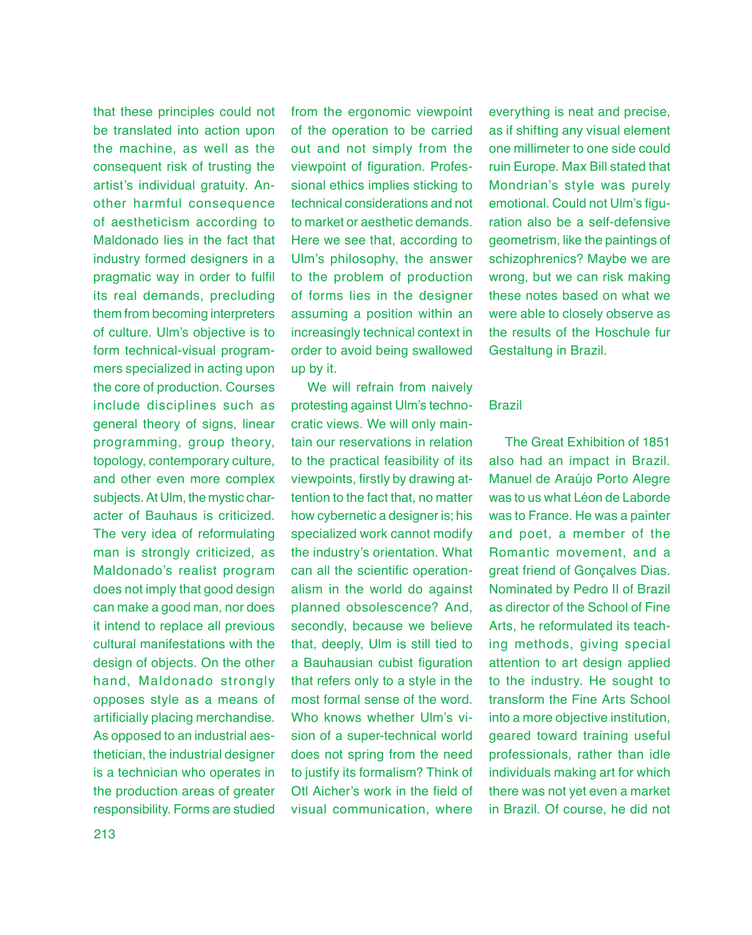that these principles could not be translated into action upon the machine, as well as the consequent risk of trusting the artist's individual gratuity. Another harmful consequence of aestheticism according to Maldonado lies in the fact that industry formed designers in a pragmatic way in order to fulfil its real demands, precluding them from becoming interpreters of culture. Ulm's objective is to form technical-visual programmers specialized in acting upon the core of production. Courses include disciplines such as general theory of signs, linear programming, group theory, topology, contemporary culture, and other even more complex subjects. At Ulm, the mystic character of Bauhaus is criticized. The very idea of reformulating man is strongly criticized, as Maldonado's realist program does not imply that good design can make a good man, nor does it intend to replace all previous cultural manifestations with the design of objects. On the other hand, Maldonado strongly opposes style as a means of artificially placing merchandise. As opposed to an industrial aesthetician, the industrial designer is a technician who operates in the production areas of greater responsibility. Forms are studied

from the ergonomic viewpoint of the operation to be carried out and not simply from the viewpoint of figuration. Professional ethics implies sticking to technical considerations and not to market or aesthetic demands. Here we see that, according to Ulm's philosophy, the answer to the problem of production of forms lies in the designer assuming a position within an increasingly technical context in order to avoid being swallowed up by it.

We will refrain from naively protesting against Ulm's technocratic views. We will only maintain our reservations in relation to the practical feasibility of its viewpoints, firstly by drawing attention to the fact that, no matter how cybernetic a designer is; his specialized work cannot modify the industry's orientation. What can all the scientific operationalism in the world do against planned obsolescence? And, secondly, because we believe that, deeply, Ulm is still tied to a Bauhausian cubist figuration that refers only to a style in the most formal sense of the word. Who knows whether Ulm's vision of a super-technical world does not spring from the need to justify its formalism? Think of Otl Aicher's work in the field of visual communication, where

everything is neat and precise, as if shifting any visual element one millimeter to one side could ruin Europe. Max Bill stated that Mondrian's style was purely emotional. Could not Ulm's figuration also be a self-defensive geometrism, like the paintings of schizophrenics? Maybe we are wrong, but we can risk making these notes based on what we were able to closely observe as the results of the Hoschule fur Gestaltung in Brazil.

#### Brazil

The Great Exhibition of 1851 also had an impact in Brazil. Manuel de Araújo Porto Alegre was to us what Léon de Laborde was to France. He was a painter and poet, a member of the Romantic movement, and a great friend of Gonçalves Dias. Nominated by Pedro II of Brazil as director of the School of Fine Arts, he reformulated its teaching methods, giving special attention to art design applied to the industry. He sought to transform the Fine Arts School into a more objective institution, geared toward training useful professionals, rather than idle individuals making art for which there was not yet even a market in Brazil. Of course, he did not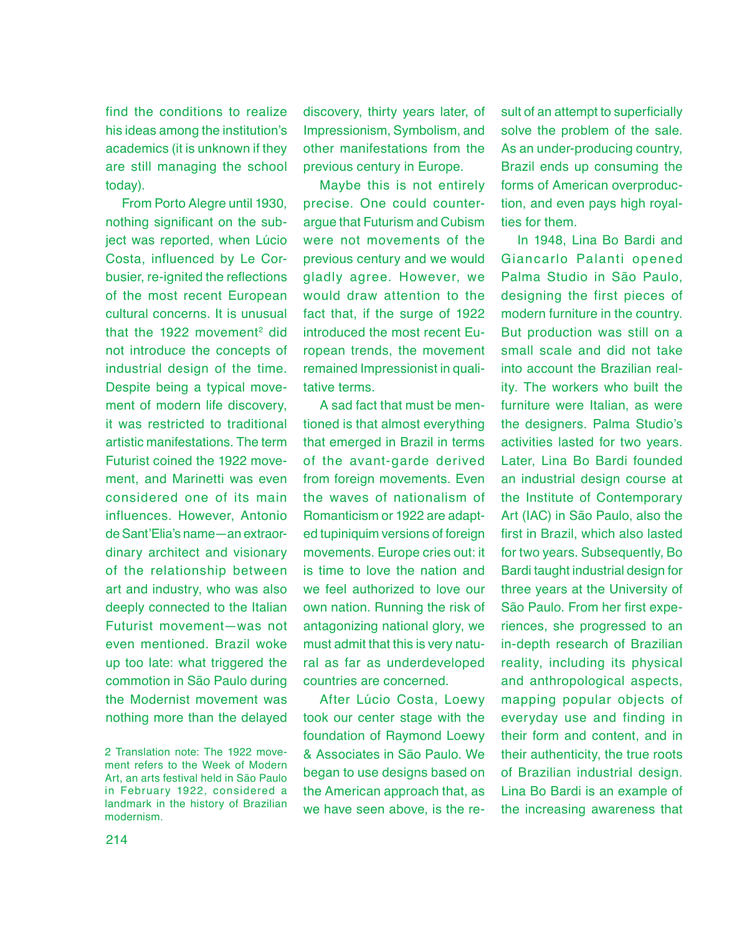find the conditions to realize his ideas among the institution's academics (it is unknown if they are still managing the school today).

From Porto Alegre until 1930, nothing significant on the subject was reported, when Lúcio Costa, influenced by Le Corbusier, re-ignited the reflections of the most recent European cultural concerns. It is unusual that the 1922 movement<sup>2</sup> did not introduce the concepts of industrial design of the time. Despite being a typical movement of modern life discovery, it was restricted to traditional artistic manifestations. The term Futurist coined the 1922 movement, and Marinetti was even considered one of its main influences. However, Antonio de Sant'Elia's name—an extraordinary architect and visionary of the relationship between art and industry, who was also deeply connected to the Italian Futurist movement—was not even mentioned. Brazil woke up too late: what triggered the commotion in São Paulo during the Modernist movement was nothing more than the delayed

discovery, thirty years later, of Impressionism, Symbolism, and other manifestations from the previous century in Europe.

Maybe this is not entirely precise. One could counterargue that Futurism and Cubism were not movements of the previous century and we would gladly agree. However, we would draw attention to the fact that, if the surge of 1922 introduced the most recent European trends, the movement remained Impressionist in qualitative terms.

A sad fact that must be mentioned is that almost everything that emerged in Brazil in terms of the avant-garde derived from foreign movements. Even the waves of nationalism of Romanticism or 1922 are adapted tupiniquim versions of foreign movements. Europe cries out: it is time to love the nation and we feel authorized to love our own nation. Running the risk of antagonizing national glory, we must admit that this is very natural as far as underdeveloped countries are concerned.

After Lúcio Costa, Loewy took our center stage with the foundation of Raymond Loewy & Associates in São Paulo. We began to use designs based on the American approach that, as we have seen above, is the re-

sult of an attempt to superficially solve the problem of the sale. As an under-producing country, Brazil ends up consuming the forms of American overproduction, and even pays high royalties for them.

In 1948, Lina Bo Bardi and Giancarlo Palanti opened Palma Studio in São Paulo, designing the first pieces of modern furniture in the country. But production was still on a small scale and did not take into account the Brazilian reality. The workers who built the furniture were Italian, as were the designers. Palma Studio's activities lasted for two years. Later, Lina Bo Bardi founded an industrial design course at the Institute of Contemporary Art (IAC) in São Paulo, also the first in Brazil, which also lasted for two years. Subsequently, Bo Bardi taught industrial design for three years at the University of São Paulo. From her first experiences, she progressed to an in-depth research of Brazilian reality, including its physical and anthropological aspects, mapping popular objects of everyday use and finding in their form and content, and in their authenticity, the true roots of Brazilian industrial design. Lina Bo Bardi is an example of the increasing awareness that

<sup>2</sup> Translation note: The 1922 movement refers to the Week of Modern Art, an arts festival held in São Paulo in February 1922, considered a landmark in the history of Brazilian modernism.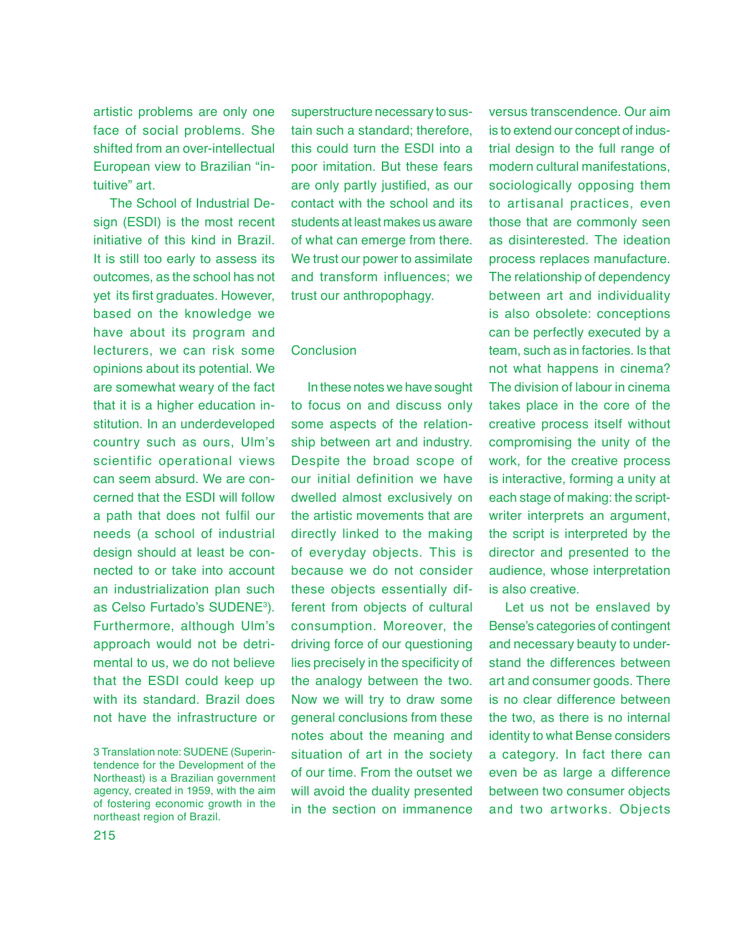artistic problems are only one face of social problems. She shifted from an over-intellectual European view to Brazilian "intuitive" art.

The School of Industrial Design (ESDI) is the most recent initiative of this kind in Brazil. It is still too early to assess its outcomes, as the school has not yet its first graduates. However, based on the knowledge we have about its program and lecturers, we can risk some opinions about its potential. We are somewhat weary of the fact that it is a higher education institution. In an underdeveloped country such as ours, Ulm's scientific operational views can seem absurd. We are concerned that the ESDI will follow a path that does not fulfil our needs (a school of industrial design should at least be connected to or take into account an industrialization plan such as Celso Furtado's SUDENE<sup>3</sup> ). Furthermore, although Ulm's approach would not be detrimental to us, we do not believe that the ESDI could keep up with its standard. Brazil does not have the infrastructure or

superstructure necessary to sustain such a standard; therefore, this could turn the ESDI into a poor imitation. But these fears are only partly justified, as our contact with the school and its students at least makes us aware of what can emerge from there. We trust our power to assimilate and transform influences; we trust our anthropophagy.

## Conclusion

In these notes we have sought to focus on and discuss only some aspects of the relationship between art and industry. Despite the broad scope of our initial definition we have dwelled almost exclusively on the artistic movements that are directly linked to the making of everyday objects. This is because we do not consider these objects essentially different from objects of cultural consumption. Moreover, the driving force of our questioning lies precisely in the specificity of the analogy between the two. Now we will try to draw some general conclusions from these notes about the meaning and situation of art in the society of our time. From the outset we will avoid the duality presented in the section on immanence

versus transcendence. Our aim is to extend our concept of industrial design to the full range of modern cultural manifestations, sociologically opposing them to artisanal practices, even those that are commonly seen as disinterested. The ideation process replaces manufacture. The relationship of dependency between art and individuality is also obsolete: conceptions can be perfectly executed by a team, such as in factories. Is that not what happens in cinema? The division of labour in cinema takes place in the core of the creative process itself without compromising the unity of the work, for the creative process is interactive, forming a unity at each stage of making: the scriptwriter interprets an argument, the script is interpreted by the director and presented to the audience, whose interpretation is also creative.

Let us not be enslaved by Bense's categories of contingent and necessary beauty to understand the differences between art and consumer goods. There is no clear difference between the two, as there is no internal identity to what Bense considers a category. In fact there can even be as large a difference between two consumer objects and two artworks. Objects

<sup>3</sup> Translation note: SUDENE (Superintendence for the Development of the Northeast) is a Brazilian government agency, created in 1959, with the aim of fostering economic growth in the northeast region of Brazil.